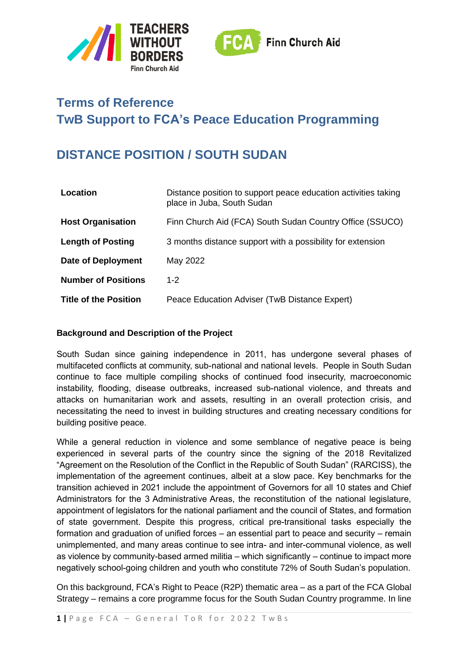



# **Terms of Reference TwB Support to FCA's Peace Education Programming**

## **DISTANCE POSITION / SOUTH SUDAN**

| Location                     | Distance position to support peace education activities taking<br>place in Juba, South Sudan |
|------------------------------|----------------------------------------------------------------------------------------------|
| <b>Host Organisation</b>     | Finn Church Aid (FCA) South Sudan Country Office (SSUCO)                                     |
| <b>Length of Posting</b>     | 3 months distance support with a possibility for extension                                   |
| <b>Date of Deployment</b>    | May 2022                                                                                     |
| <b>Number of Positions</b>   | $1 - 2$                                                                                      |
| <b>Title of the Position</b> | Peace Education Adviser (TwB Distance Expert)                                                |

## **Background and Description of the Project**

South Sudan since gaining independence in 2011, has undergone several phases of multifaceted conflicts at community, sub-national and national levels. People in South Sudan continue to face multiple compiling shocks of continued food insecurity, macroeconomic instability, flooding, disease outbreaks, increased sub-national violence, and threats and attacks on humanitarian work and assets, resulting in an overall protection crisis, and necessitating the need to invest in building structures and creating necessary conditions for building positive peace.

While a general reduction in violence and some semblance of negative peace is being experienced in several parts of the country since the signing of the 2018 Revitalized "Agreement on the Resolution of the Conflict in the Republic of South Sudan" (RARCISS), the implementation of the agreement continues, albeit at a slow pace. Key benchmarks for the transition achieved in 2021 include the appointment of Governors for all 10 states and Chief Administrators for the 3 Administrative Areas, the reconstitution of the national legislature, appointment of legislators for the national parliament and the council of States, and formation of state government. Despite this progress, critical pre-transitional tasks especially the formation and graduation of unified forces – an essential part to peace and security – remain unimplemented, and many areas continue to see intra- and inter-communal violence, as well as violence by community-based armed militia – which significantly – continue to impact more negatively school-going children and youth who constitute 72% of South Sudan's population.

On this background, FCA's Right to Peace (R2P) thematic area – as a part of the FCA Global Strategy – remains a core programme focus for the South Sudan Country programme. In line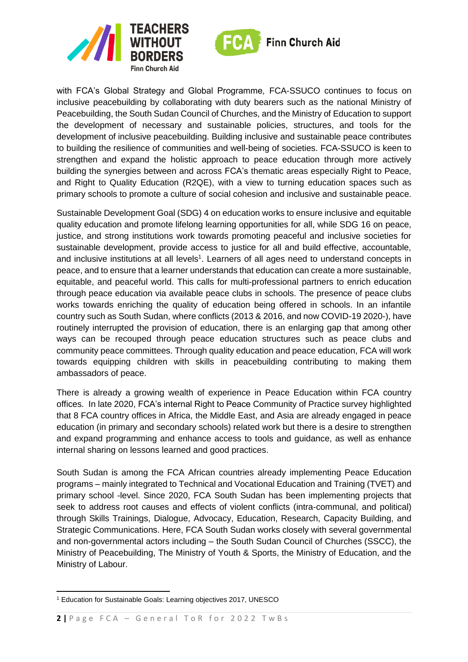



with FCA's Global Strategy and Global Programme, FCA-SSUCO continues to focus on inclusive peacebuilding by collaborating with duty bearers such as the national Ministry of Peacebuilding, the South Sudan Council of Churches, and the Ministry of Education to support the development of necessary and sustainable policies, structures, and tools for the development of inclusive peacebuilding. Building inclusive and sustainable peace contributes to building the resilience of communities and well-being of societies. FCA-SSUCO is keen to strengthen and expand the holistic approach to peace education through more actively building the synergies between and across FCA's thematic areas especially Right to Peace, and Right to Quality Education (R2QE), with a view to turning education spaces such as primary schools to promote a culture of social cohesion and inclusive and sustainable peace.

Sustainable Development Goal (SDG) 4 on education works to ensure inclusive and equitable quality education and promote lifelong learning opportunities for all, while SDG 16 on peace, justice, and strong institutions work towards promoting peaceful and inclusive societies for sustainable development, provide access to justice for all and build effective, accountable, and inclusive institutions at all levels<sup>1</sup>. Learners of all ages need to understand concepts in peace, and to ensure that a learner understands that education can create a more sustainable, equitable, and peaceful world. This calls for multi-professional partners to enrich education through peace education via available peace clubs in schools. The presence of peace clubs works towards enriching the quality of education being offered in schools. In an infantile country such as South Sudan, where conflicts (2013 & 2016, and now COVID-19 2020-), have routinely interrupted the provision of education, there is an enlarging gap that among other ways can be recouped through peace education structures such as peace clubs and community peace committees. Through quality education and peace education, FCA will work towards equipping children with skills in peacebuilding contributing to making them ambassadors of peace.

There is already a growing wealth of experience in Peace Education within FCA country offices. In late 2020, FCA's internal Right to Peace Community of Practice survey highlighted that 8 FCA country offices in Africa, the Middle East, and Asia are already engaged in peace education (in primary and secondary schools) related work but there is a desire to strengthen and expand programming and enhance access to tools and guidance, as well as enhance internal sharing on lessons learned and good practices.

South Sudan is among the FCA African countries already implementing Peace Education programs – mainly integrated to Technical and Vocational Education and Training (TVET) and primary school -level. Since 2020, FCA South Sudan has been implementing projects that seek to address root causes and effects of violent conflicts (intra-communal, and political) through Skills Trainings, Dialogue, Advocacy, Education, Research, Capacity Building, and Strategic Communications. Here, FCA South Sudan works closely with several governmental and non-governmental actors including – the South Sudan Council of Churches (SSCC), the Ministry of Peacebuilding, The Ministry of Youth & Sports, the Ministry of Education, and the Ministry of Labour.

<sup>1</sup> Education for Sustainable Goals: Learning objectives 2017, UNESCO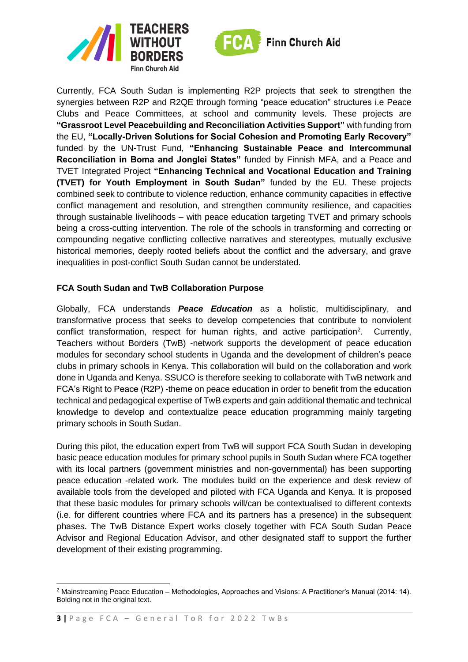



Currently, FCA South Sudan is implementing R2P projects that seek to strengthen the synergies between R2P and R2QE through forming "peace education" structures i.e Peace Clubs and Peace Committees, at school and community levels. These projects are **"Grassroot Level Peacebuilding and Reconciliation Activities Support"** with funding from the EU, **"Locally-Driven Solutions for Social Cohesion and Promoting Early Recovery"** funded by the UN-Trust Fund, **"Enhancing Sustainable Peace and Intercommunal Reconciliation in Boma and Jonglei States"** funded by Finnish MFA, and a Peace and TVET Integrated Project **"Enhancing Technical and Vocational Education and Training (TVET) for Youth Employment in South Sudan"** funded by the EU. These projects combined seek to contribute to violence reduction, enhance community capacities in effective conflict management and resolution, and strengthen community resilience, and capacities through sustainable livelihoods – with peace education targeting TVET and primary schools being a cross-cutting intervention. The role of the schools in transforming and correcting or compounding negative conflicting collective narratives and stereotypes, mutually exclusive historical memories, deeply rooted beliefs about the conflict and the adversary, and grave inequalities in post-conflict South Sudan cannot be understated.

## **FCA South Sudan and TwB Collaboration Purpose**

Globally, FCA understands *Peace Education* as a holistic, multidisciplinary, and transformative process that seeks to develop competencies that contribute to nonviolent conflict transformation, respect for human rights, and active participation<sup>2</sup>. Currently, Teachers without Borders (TwB) -network supports the development of peace education modules for secondary school students in Uganda and the development of children's peace clubs in primary schools in Kenya. This collaboration will build on the collaboration and work done in Uganda and Kenya. SSUCO is therefore seeking to collaborate with TwB network and FCA's Right to Peace (R2P) -theme on peace education in order to benefit from the education technical and pedagogical expertise of TwB experts and gain additional thematic and technical knowledge to develop and contextualize peace education programming mainly targeting primary schools in South Sudan.

During this pilot, the education expert from TwB will support FCA South Sudan in developing basic peace education modules for primary school pupils in South Sudan where FCA together with its local partners (government ministries and non-governmental) has been supporting peace education -related work. The modules build on the experience and desk review of available tools from the developed and piloted with FCA Uganda and Kenya. It is proposed that these basic modules for primary schools will/can be contextualised to different contexts (i.e. for different countries where FCA and its partners has a presence) in the subsequent phases. The TwB Distance Expert works closely together with FCA South Sudan Peace Advisor and Regional Education Advisor, and other designated staff to support the further development of their existing programming.

<sup>2</sup> Mainstreaming Peace Education – Methodologies, Approaches and Visions: A Practitioner's Manual (2014: 14). Bolding not in the original text.